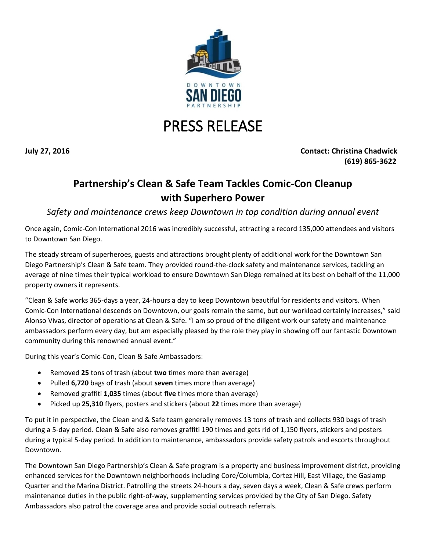

## PRESS RELEASE

**July 27, 2016 Contact: Christina Chadwick (619) 865-3622**

## **Partnership's Clean & Safe Team Tackles Comic-Con Cleanup with Superhero Power**

*Safety and maintenance crews keep Downtown in top condition during annual event*

Once again, Comic-Con International 2016 was incredibly successful, attracting a record 135,000 attendees and visitors to Downtown San Diego.

The steady stream of superheroes, guests and attractions brought plenty of additional work for the Downtown San Diego Partnership's Clean & Safe team. They provided round-the-clock safety and maintenance services, tackling an average of nine times their typical workload to ensure Downtown San Diego remained at its best on behalf of the 11,000 property owners it represents.

"Clean & Safe works 365-days a year, 24-hours a day to keep Downtown beautiful for residents and visitors. When Comic-Con International descends on Downtown, our goals remain the same, but our workload certainly increases," said Alonso Vivas, director of operations at Clean & Safe. "I am so proud of the diligent work our safety and maintenance ambassadors perform every day, but am especially pleased by the role they play in showing off our fantastic Downtown community during this renowned annual event."

During this year's Comic-Con, Clean & Safe Ambassadors:

- Removed **25** tons of trash (about **two** times more than average)
- Pulled **6,720** bags of trash (about **seven** times more than average)
- Removed graffiti **1,035** times (about **five** times more than average)
- Picked up **25,310** flyers, posters and stickers (about **22** times more than average)

To put it in perspective, the Clean and & Safe team generally removes 13 tons of trash and collects 930 bags of trash during a 5-day period. Clean & Safe also removes graffiti 190 times and gets rid of 1,150 flyers, stickers and posters during a typical 5-day period. In addition to maintenance, ambassadors provide safety patrols and escorts throughout Downtown.

The Downtown San Diego Partnership's Clean & Safe program is a property and business improvement district, providing enhanced services for the Downtown neighborhoods including Core/Columbia, Cortez Hill, East Village, the Gaslamp Quarter and the Marina District. Patrolling the streets 24-hours a day, seven days a week, Clean & Safe crews perform maintenance duties in the public right-of-way, supplementing services provided by the City of San Diego. Safety Ambassadors also patrol the coverage area and provide social outreach referrals.